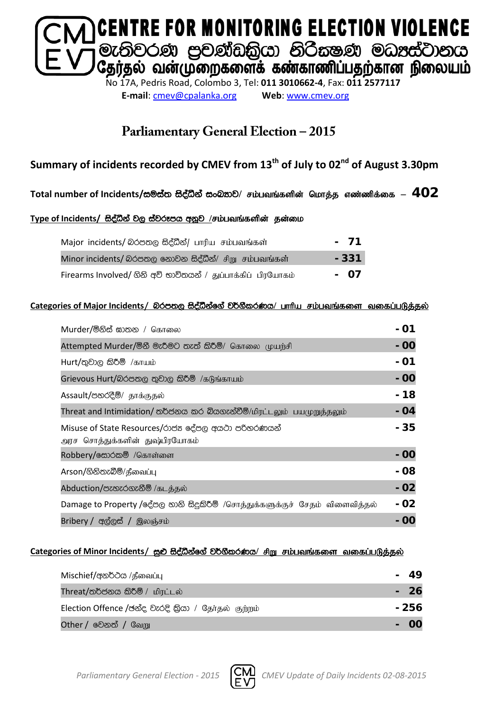

**E-mail**: [cmev@cpalanka.org](mailto:cmev@cpalanka.org) **Web**: [www.cmev.org](http://www.cmev.org/)

### **Parliamentary General Election – 2015**

### **Summary of incidents recorded by CMEV from 13th of July to 02nd of August 3.30pm**

#### $\textsf{Total number of Incidents}/\texttt{co}$ මස්ත සිද්ධීන් සංඛතාව/ சம்பவங்களின் மொத்த எண்ணிக்கை –  $\textbf{402}$

#### Type of Incidents/ සිද්ධීන් වල ස්වරූපය අනූව /சம்பவங்களின் தன்மை

| Major incidents/ லெக்கை கீத்லீ பாரிய சம்பவங்கள்              | - 71  |
|--------------------------------------------------------------|-------|
| Minor incidents/ බරපතල නොවන සිද්ධීන්/ சிறு சம்பவங்கள்        | - 331 |
| Firearms Involved/ ගිනි අවි භාවිතයන් / துப்பாக்கிப் பிரயோகம் | - 07  |

#### **Categories of Major Incidents/** nrm;, i so aëkaf. a j¾. SlrKh**/** ghhpa rk;gtq ;fis tifg ;gLj;jy ;

| Murder/මිනිස් ඝාතන / கொலை                                                            | - 01  |
|--------------------------------------------------------------------------------------|-------|
| Attempted Murder/මිනී මැරීමට තැත් කිරීම්/ கொலை முயற்சி                               | - 00  |
| $Hurt /$ තුවාල කිරීම් /காயம்                                                         | - 01  |
| Grievous Hurt/බරපතල තුවාල කිරීම් /கடுங்காயம்                                         | $-00$ |
| Assault/පහරදීම්/ தாக்குதல்                                                           | - 18  |
| Threat and Intimidation/ තර්ජනය කර බියගැන්වීම්/மிரட்டலும் பயமுறுத்தலும்              | - 04  |
| Misuse of State Resources/රාජන දේපල අයථා පරිතරණයන්<br>அரச சொத்துக்களின் துஷ்பிரயோகம் | - 35  |
| Robbery/க்லேல் /கொள்ளை                                                               | - 00  |
| Arson/ගිනිතැබීම්/தீவைப்பு                                                            | - 08  |
| Abduction/පැහැරගැනීම් /கடத்தல்                                                       | $-02$ |
| Damage to Property /දේපල හානි සිදුකිරීම් /சொத்துக்களுக்குச் சேதம் விளைவித்தல்        | - 02  |
| Bribery / අල්ලස් / இலஞ்சம்                                                           | - 00  |

#### Categories of Minor Incidents/ සුළු සිද්ධීන්ගේ වර්ගීකරණය/ சிறு சம்பவங்களை வகைப்படுத்தல்

| Mischief/අනර්ථය /தீவைப்பு                           | 49    |
|-----------------------------------------------------|-------|
| Threat/තර්ජනය කිරීම් / மிரட்டல்                     | - 26  |
| Election Offence /ඡන්ද වැරදි කියා / தேர்தல் குற்றம் | - 256 |
| <b>Other / වෙ</b> නත් / வேறு                        |       |

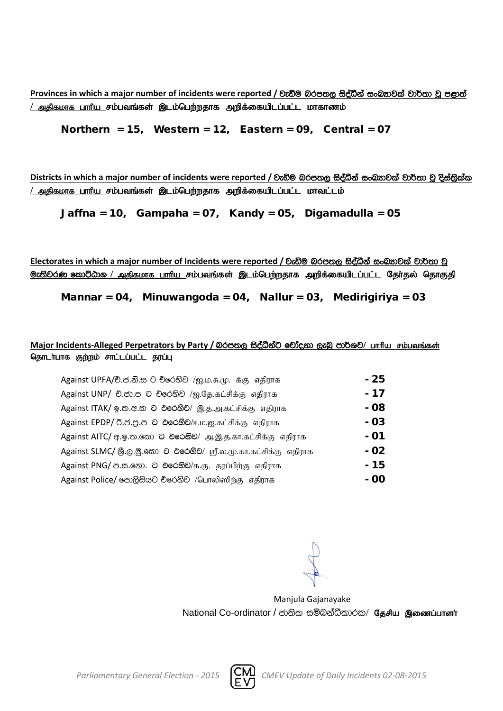**Provinces** in which a major number of incidents were reported / වැඩිම බරපතල සිද්ධීන් සංඛතාවක් වාර්තා වූ පළාත් <u>/ அகிகமாக பாரிய சம்பவங்கள் இடம்பெற்றதாக அறிக்கையிடப்பட்ட மாகாணம்</u>

Northern = 15, Western = 12, Eastern = 09, Central = 07

**Districts** in which a major number of incidents were reported / වැඩිම බරපතල සිද්ධීන් සංඛතාවක් වාර්තා වූ දිස්තිුක්ක <u>/ அதிகமாக பாரிய சம்பவங்கள் இடம்பெற்றதாக அறிக்கையிடப்பட்ட மாவட்டம்</u>

Jaffna = 10, Gampaha = 07, Kandy = 05, Digamadulla = 05

Electorates in which a major number of Incidents were reported / වැඩිම බරපතල සිද්ධීන් සංබ<sub>්</sub>තවක් වාර්තා වූ <mark>ூ: ல</mark>ிவ் கூறிமை / அதிகமாக பாரிய சம்பவங்கள் இடம்பெற்றதாக அறிக்கையிடப்பட்ட தேர்தல் தொகுதி

Mannar = 04, Minuwangoda = 04, Nallur = 03, Medirigiriya = 03

#### Major Incidents-Alleged Perpetrators by Party / බරපතල සිද්ධීන්ට චෝදනා ලැබූ පාර්ශව/ பாரிய சம்பவங்கள் <u>தொடர்பாக குற்றம் சாட்டப்பட்ட தரப்பு</u>

| Against UPFA/චි.ජ.නි.ස ට චිරෙහිව /ஐ.ம.சு.மு. க்கு எதிராக          | - 25 |
|-------------------------------------------------------------------|------|
| Against UNP/ චි.ජා.ප ට චිරෙහිව /ஐ.தே.கட்சிக்கு எதிராக             | - 17 |
| Against ITAK/ ஓ.ஐ. ச.ல 2 එරෙහිව/ இ.த.அ.கட்சிக்கு எதிராக           | - 08 |
| Against EPDP/ 0.8.8.8 ට එරෙහිව/ஈ.ம.ஜ.கட்சிக்கு எதிராக             | - 03 |
| Against AITC/ අ. இ. ஐ. இலை 2 එ தேசி அ. இ. த. கா. கட்சிக்கு எதிராக | - 01 |
| Against SLMC/ இ.  இ.  2 එරෙහිව/ ஸ்ரீ.ல. மு. கா. கட்சிக்கு எதிராக  | - 02 |
| Against PNG/ ඏ.ඎ.෩. ට එරෙහිව/க.கு. தரப்பிற்கு எதிராக              | - 15 |
| Against Police/ පොලිසියට චරෙහිව /பொலிஸிற்கு எதிராக                | - 00 |

Manjula Gajanayake National Co-ordinator / ජාතික සම්බන්ධීකාරක/ தேசிய இணைப்பாளர்

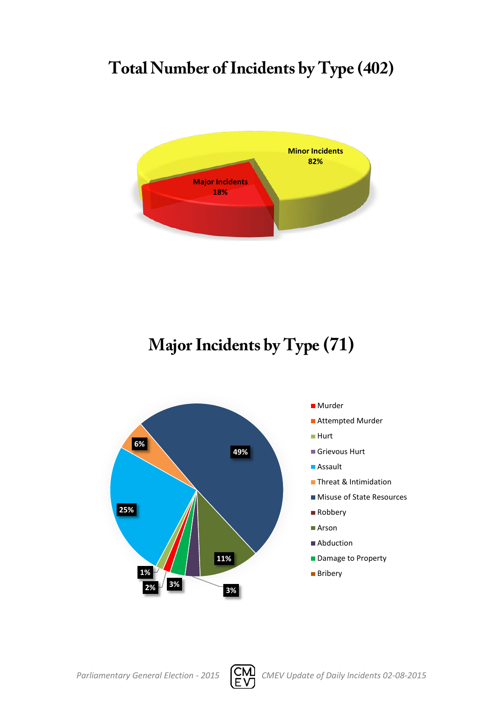# **Total Number of Incidents by Type (402)**



**Major Incidents by Type (71)**